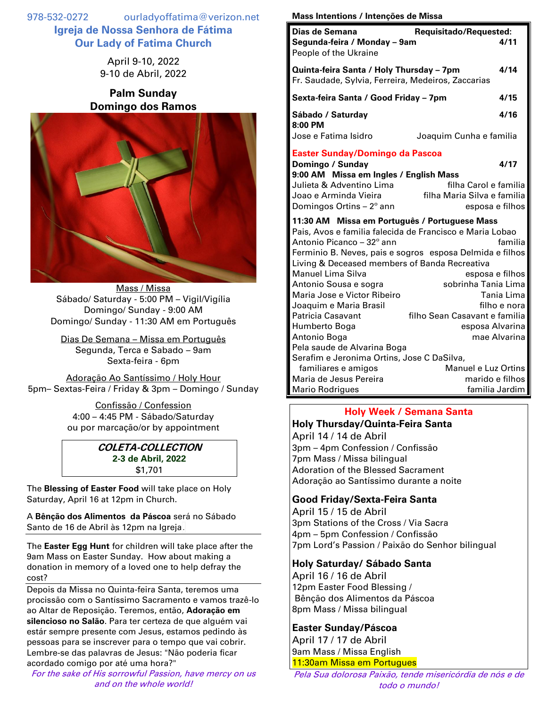978-532-0272 ourladyoffatima@verizon.net **Igreja de Nossa Senhora de Fátima Our Lady of Fatima Church**

> April 9-10, 2022 9-10 de Abril, 2022

# **Palm Sunday Domingo dos Ramos**



Mass / Missa Sábado/ Saturday - 5:00 PM – Vigil/Vigília Domingo/ Sunday - 9:00 AM Domingo/ Sunday - 11:30 AM em Português

Dias De Semana – Missa em Português Segunda, Terca e Sabado – 9am Sexta-feira - 6pm

Adoração Ao Santíssimo / Holy Hour 5pm– Sextas-Feira / Friday & 3pm – Domingo / Sunday

> Confissão / Confession 4:00 – 4:45 PM - Sábado/Saturday ou por marcação/or by appointment

### **COLETA-COLLECTION 2-3 de Abril, 2022** \$1,701

The **Blessing of Easter Food** will take place on Holy Saturday, April 16 at 12pm in Church.

A **Bênção dos Alimentos da Páscoa** será no Sábado Santo de 16 de Abril às 12pm na Igreja.

The **Easter Egg Hunt** for children will take place after the 9am Mass on Easter Sunday. How about making a donation in memory of a loved one to help defray the cost?

Depois da Missa no Quinta-feira Santa, teremos uma procissão com o Santíssimo Sacramento e vamos trazê-lo ao Altar de Reposição. Teremos, então, **Adoração em silencioso no Salão**. Para ter certeza de que alguém vai estár sempre presente com Jesus, estamos pedindo às pessoas para se inscrever para o tempo que vai cobrir. Lembre-se das palavras de Jesus: "Não poderia ficar acordado comigo por até uma hora?"

For the sake of His sorrowful Passion, have mercy on us and on the whole world!

#### **Mass Intentions / Intenções de Missa**

| Requisitado/Requested:<br>Dias de Semana                                                                                                                                                                                                                                                |                                                                                                                             |  |
|-----------------------------------------------------------------------------------------------------------------------------------------------------------------------------------------------------------------------------------------------------------------------------------------|-----------------------------------------------------------------------------------------------------------------------------|--|
| Segunda-feira / Monday - 9am<br>People of the Ukraine                                                                                                                                                                                                                                   | 4/11                                                                                                                        |  |
| Quinta-feira Santa / Holy Thursday - 7pm                                                                                                                                                                                                                                                | 4/14                                                                                                                        |  |
| Fr. Saudade, Sylvia, Ferreira, Medeiros, Zaccarias                                                                                                                                                                                                                                      |                                                                                                                             |  |
| Sexta-feira Santa / Good Friday – 7pm                                                                                                                                                                                                                                                   |                                                                                                                             |  |
| Sábado / Saturday<br>8:00 PM                                                                                                                                                                                                                                                            | 4/16                                                                                                                        |  |
| Jose e Fatima Isidro                                                                                                                                                                                                                                                                    | Joaquim Cunha e familia                                                                                                     |  |
| <b>Easter Sunday/Domingo da Pascoa</b>                                                                                                                                                                                                                                                  |                                                                                                                             |  |
| Domingo / Sunday                                                                                                                                                                                                                                                                        | 4/17                                                                                                                        |  |
| 9:00 AM Missa em Ingles / English Mass<br>Julieta & Adventino Lima                                                                                                                                                                                                                      | filha Carol e familia                                                                                                       |  |
| Joao e Arminda Vieira                                                                                                                                                                                                                                                                   | filha Maria Silva e familia                                                                                                 |  |
| Domingos Ortins $-2^\circ$ ann                                                                                                                                                                                                                                                          | esposa e filhos                                                                                                             |  |
| 11:30 AM Missa em Português / Portuguese Mass<br>Pais, Avos e familia falecida de Francisco e Maria Lobao<br>Antonio Picanco – 32 <sup>°</sup> ann<br>Living & Deceased members of Banda Recreativa<br><b>Manuel Lima Silva</b><br>Antonio Sousa e sogra<br>Maria Jose e Victor Ribeiro | familia<br>Ferminio B. Neves, pais e sogros esposa Delmida e filhos<br>esposa e filhos<br>sobrinha Tania Lima<br>Tania Lima |  |
| Joaquim e Maria Brasil                                                                                                                                                                                                                                                                  | filho e nora                                                                                                                |  |
| Patricia Casavant                                                                                                                                                                                                                                                                       | filho Sean Casavant e familia                                                                                               |  |
| Humberto Boga                                                                                                                                                                                                                                                                           | esposa Alvarina                                                                                                             |  |
| Antonio Boga                                                                                                                                                                                                                                                                            | mae Alvarina                                                                                                                |  |
| Pela saude de Alvarina Boga                                                                                                                                                                                                                                                             |                                                                                                                             |  |
| Serafim e Jeronima Ortins, Jose C DaSilva,                                                                                                                                                                                                                                              | <b>Manuel e Luz Ortins</b>                                                                                                  |  |
| familiares e amigos<br>Maria de Jesus Pereira                                                                                                                                                                                                                                           | marido e filhos                                                                                                             |  |
| <b>Mario Rodrigues</b>                                                                                                                                                                                                                                                                  | familia Jardim                                                                                                              |  |

# **Holy Week / Semana Santa**

**Holy Thursday/Quinta-Feira Santa** April 14 / 14 de Abril 3pm – 4pm Confession / Confissão 7pm Mass / Missa bilingual Adoration of the Blessed Sacrament Adoração ao Santíssimo durante a noite

## **Good Friday/Sexta-Feira Santa**

April 15 / 15 de Abril 3pm Stations of the Cross / Via Sacra 4pm – 5pm Confession / Confissão 7pm Lord's Passion / Paixão do Senhor bilingual

## **Holy Saturday/ Sábado Santa**

April 16 / 16 de Abril 12pm Easter Food Blessing / Bênção dos Alimentos da Páscoa 8pm Mass / Missa bilingual

## **Easter Sunday/Páscoa**

April 17 / 17 de Abril 9am Mass / Missa English 11:30am Missa em Portugues

Pela Sua dolorosa Paixão, tende misericórdia de nós e de todo o mundo!